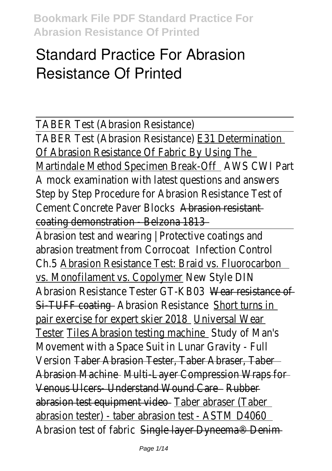# **Standard Practice For Abrasion Resistance Of Printed**

TABER Test (Abrasion Resistance)

TABER Test (Abrasion Resistance) E31 Determination Of Abrasion Resistance Of Fabric By Using The

Martindale Method Specimen Break-Off Martin AWS CWI Part A mock examination with latest questions and answers Step by Step Procedure for Abrasion Resistance Test of Cement Concrete Paver Blocks Abrasion resistant coating demonstration - Belzona 1813

Abrasion test and wearing | Protective coatings and abrasion treatment from Corrocoat Infection Control Ch.5 Abrasion Resistance Test: Braid vs. Fluorocarbon vs. Monofilament vs. Copolymer New Style DIN Abrasion Resistance Tester GT-KB03 Wear resistance of Si-TUFF coating - Abrasion Resistance Short turns in pair exercise for expert skier 2018 Universal Wear Tester Tiles Abrasion testing machine Study of Man's Movement with a Space Suit in Lunar Gravity - Full Version Taber Abrasion Tester, Taber Abraser, Taber Abrasion Machine - Multi-Layer Compression Wraps for Venous Ulcers- Understand Wound Care Rubber abrasion test equipment video - Taber abraser (Taber abrasion tester) - taber abrasion test - ASTM D4060 Abrasion test of fabric Single layer Dyneema<sup>®</sup> Denim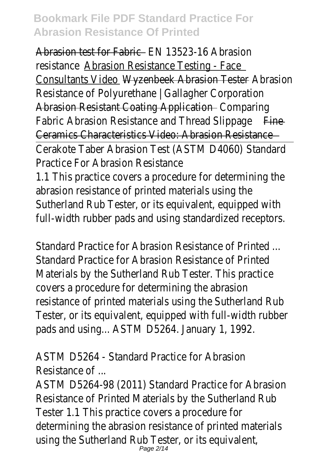Abrasion test for Fabric – FN 13523-16 Abrasion resistance Abrasion Resistance Testing - Face Consultants Video Wyzenbeek Abrasion Tester Abrasion Resistance of Polyurethane | Gallagher Corporation Abrasion Resistant Coating Application - Comparing Fabric Abrasion Resistance and Thread Slippage Fine-Ceramics Characteristics Video: Abrasion Resistance

Cerakote Taber Abrasion Test (ASTM D4060) Standard Practice For Abrasion Resistance

1.1 This practice covers a procedure for determining the abrasion resistance of printed materials using the Sutherland Rub Tester, or its equivalent, equipped with full-width rubber pads and using standardized receptors.

Standard Practice for Abrasion Resistance of Printed Standard Practice for Abrasion Resistance of Printed Materials by the Sutherland Rub Tester. This practice covers a procedure for determining the abrasion resistance of printed materials using the Sutherland Rub Tester, or its equivalent, equipped with full-width rubber pads and using... ASTM D5264. January 1, 1992.

ASTM D5264 - Standard Practice for Abrasion Resistance of ...

ASTM D5264-98 (2011) Standard Practice for Abrasion Resistance of Printed Materials by the Sutherland Rub Tester 1.1 This practice covers a procedure for determining the abrasion resistance of printed materials using the Sutherland Rub Tester, or its equivalent, Page 2/14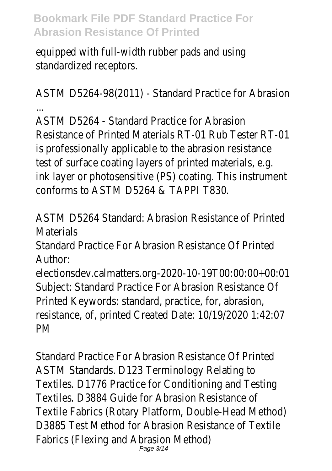equipped with full-width rubber pads and using standardized receptors.

ASTM D5264-98(2011) - Standard Practice for Abrasion ...

ASTM D5264 - Standard Practice for Abrasion Resistance of Printed Materials RT-01 Rub Tester RT-01 is professionally applicable to the abrasion resistance test of surface coating layers of printed materials, e.g. ink layer or photosensitive (PS) coating. This instrument conforms to ASTM D5264 & TAPPI T830.

ASTM D5264 Standard: Abrasion Resistance of Printed **Materials** 

Standard Practice For Abrasion Resistance Of Printed Author:

electionsdev.calmatters.org-2020-10-19T00:00:00+00:01 Subject: Standard Practice For Abrasion Resistance Of Printed Keywords: standard, practice, for, abrasion, resistance, of, printed Created Date: 10/19/2020 1:42:07 PM

Standard Practice For Abrasion Resistance Of Printed ASTM Standards. D123 Terminology Relating to Textiles. D1776 Practice for Conditioning and Testing Textiles. D3884 Guide for Abrasion Resistance of Textile Fabrics (Rotary Platform, Double-Head Method) D3885 Test Method for Abrasion Resistance of Textile Fabrics (Flexing and Abrasion Method) Page 3/14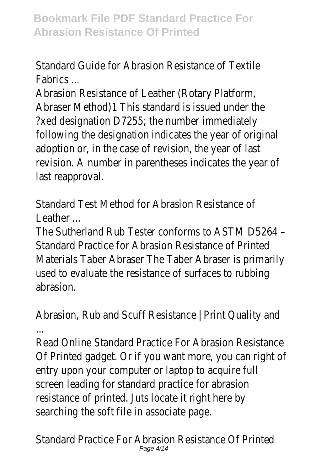## Standard Guide for Abrasion Resistance of Textile Fabrics ...

Abrasion Resistance of Leather (Rotary Platform, Abraser Method)1 This standard is issued under the ?xed designation D7255; the number immediately following the designation indicates the year of original adoption or, in the case of revision, the year of last revision. A number in parentheses indicates the year of last reapproval.

Standard Test Method for Abrasion Resistance of Leather ...

The Sutherland Rub Tester conforms to ASTM D5264 – Standard Practice for Abrasion Resistance of Printed Materials Taber Abraser The Taber Abraser is primarily used to evaluate the resistance of surfaces to rubbing abrasion.

Abrasion, Rub and Scuff Resistance | Print Quality and ...

Read Online Standard Practice For Abrasion Resistance Of Printed gadget. Or if you want more, you can right of entry upon your computer or laptop to acquire full screen leading for standard practice for abrasion resistance of printed. Juts locate it right here by searching the soft file in associate page.

Standard Practice For Abrasion Resistance Of Printed Page 4/14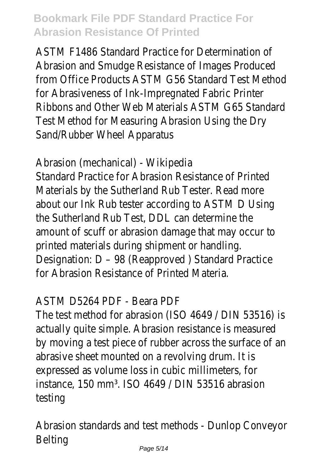ASTM F1486 Standard Practice for Determination of Abrasion and Smudge Resistance of Images Produced from Office Products ASTM G56 Standard Test Method for Abrasiveness of Ink-Impregnated Fabric Printer Ribbons and Other Web Materials ASTM G65 Standard Test Method for Measuring Abrasion Using the Dry Sand/Rubber Wheel Apparatus

Abrasion (mechanical) - Wikipedia

Standard Practice for Abrasion Resistance of Printed Materials by the Sutherland Rub Tester. Read more about our Ink Rub tester according to ASTM D Using the Sutherland Rub Test, DDL can determine the amount of scuff or abrasion damage that may occur to printed materials during shipment or handling. Designation: D – 98 (Reapproved ) Standard Practice for Abrasion Resistance of Printed Materia.

#### ASTM D5264 PDF - Beara PDF

The test method for abrasion (ISO 4649 / DIN 53516) is actually quite simple. Abrasion resistance is measured by moving a test piece of rubber across the surface of an abrasive sheet mounted on a revolving drum. It is expressed as volume loss in cubic millimeters, for instance, 150 mm<sup>3</sup>. ISO 4649 / DIN 53516 abrasion testing

Abrasion standards and test methods - Dunlop Conveyor Belting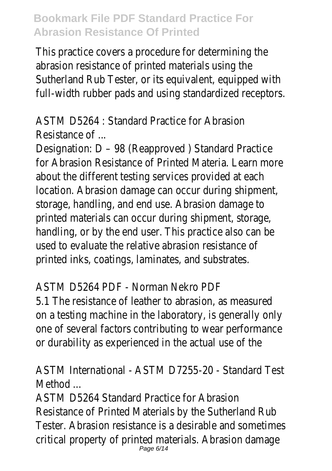This practice covers a procedure for determining the abrasion resistance of printed materials using the Sutherland Rub Tester, or its equivalent, equipped with full-width rubber pads and using standardized receptors.

ASTM D5264 : Standard Practice for Abrasion Resistance of ...

Designation: D – 98 (Reapproved ) Standard Practice for Abrasion Resistance of Printed Materia. Learn more about the different testing services provided at each location. Abrasion damage can occur during shipment, storage, handling, and end use. Abrasion damage to printed materials can occur during shipment, storage, handling, or by the end user. This practice also can be used to evaluate the relative abrasion resistance of printed inks, coatings, laminates, and substrates.

#### ASTM D5264 PDF - Norman Nekro PDF

5.1 The resistance of leather to abrasion, as measured on a testing machine in the laboratory, is generally only one of several factors contributing to wear performance or durability as experienced in the actual use of the

## ASTM International - ASTM D7255-20 - Standard Test Method ...

ASTM D5264 Standard Practice for Abrasion Resistance of Printed Materials by the Sutherland Rub Tester. Abrasion resistance is a desirable and sometimes critical property of printed materials. Abrasion damage Page 6/14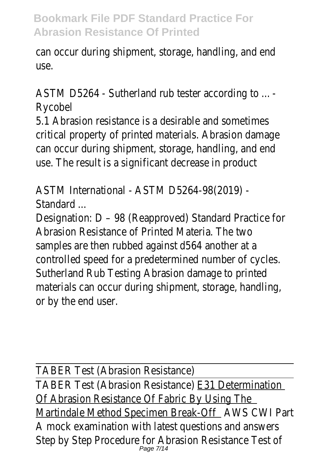can occur during shipment, storage, handling, and end use.

ASTM D5264 - Sutherland rub tester according to ... - Rycobel

5.1 Abrasion resistance is a desirable and sometimes critical property of printed materials. Abrasion damage can occur during shipment, storage, handling, and end use. The result is a significant decrease in product

ASTM International - ASTM D5264-98(2019) - Standard ...

Designation: D – 98 (Reapproved) Standard Practice for Abrasion Resistance of Printed Materia. The two samples are then rubbed against d564 another at a controlled speed for a predetermined number of cycles. Sutherland Rub Testing Abrasion damage to printed materials can occur during shipment, storage, handling, or by the end user.

TABER Test (Abrasion Resistance) TABER Test (Abrasion Resistance) E31 Determination Of Abrasion Resistance Of Fabric By Using The Martindale Method Specimen Break-Off AWS CWI Part A mock examination with latest questions and answers Step by Step Procedure for Abrasion Resistance Test of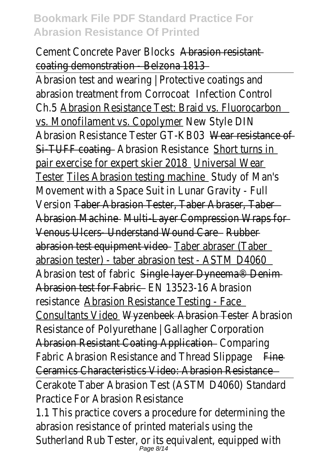Cement Concrete Paver Blocks Abrasion resistant coating demonstration - Belzona 1813

Abrasion test and wearing | Protective coatings and abrasion treatment from Corrocoat Infection Control Ch.5 Abrasion Resistance Test: Braid vs. Fluorocarbon vs. Monofilament vs. Copolymer New Style DIN Abrasion Resistance Tester GT-KB03 Wear resistance of Si-TUFF coating - Abrasion Resistance Short turns in pair exercise for expert skier 2018 Universal Wear Tester Tiles Abrasion testing machine Study of Man's Movement with a Space Suit in Lunar Gravity - Full Version Taber Abrasion Tester, Taber Abraser, Taber Abrasion Machine - Multi-Layer Compression Wraps for Venous Ulcers- Understand Wound Care Rubber abrasion test equipment video Taber abraser (Taber abrasion tester) - taber abrasion test - ASTM D4060 Abrasion test of fabric Single layer Dyneema<sup>®</sup> Denim Abrasion test for Fabric - FN 13523-16 Abrasion resistance Abrasion Resistance Testing - Face Consultants Video Wyzenbeek Abrasion Tester Abrasion Resistance of Polyurethane | Gallagher Corporation Abrasion Resistant Coating Application - Comparing Fabric Abrasion Resistance and Thread Slippage Fine Ceramics Characteristics Video: Abrasion Resistance Cerakote Taber Abrasion Test (ASTM D4060) Standard Practice For Abrasion Resistance 1.1 This practice covers a procedure for determining the abrasion resistance of printed materials using the Sutherland Rub Tester, or its equivalent, equipped with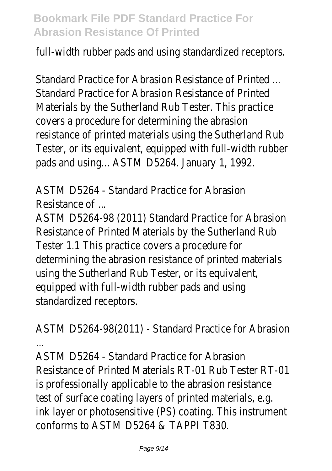full-width rubber pads and using standardized receptors.

Standard Practice for Abrasion Resistance of Printed ... Standard Practice for Abrasion Resistance of Printed Materials by the Sutherland Rub Tester. This practice covers a procedure for determining the abrasion resistance of printed materials using the Sutherland Rub Tester, or its equivalent, equipped with full-width rubber pads and using... ASTM D5264. January 1, 1992.

ASTM D5264 - Standard Practice for Abrasion Resistance of ...

ASTM D5264-98 (2011) Standard Practice for Abrasion Resistance of Printed Materials by the Sutherland Rub Tester 1.1 This practice covers a procedure for determining the abrasion resistance of printed materials using the Sutherland Rub Tester, or its equivalent, equipped with full-width rubber pads and using standardized receptors.

ASTM D5264-98(2011) - Standard Practice for Abrasion ...

ASTM D5264 - Standard Practice for Abrasion Resistance of Printed Materials RT-01 Rub Tester RT-01 is professionally applicable to the abrasion resistance test of surface coating layers of printed materials, e.g. ink layer or photosensitive (PS) coating. This instrument conforms to ASTM D5264 & TAPPI T830.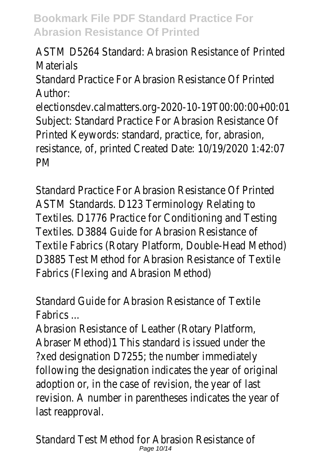ASTM D5264 Standard: Abrasion Resistance of Printed **Materials** 

Standard Practice For Abrasion Resistance Of Printed Author:

electionsdev.calmatters.org-2020-10-19T00:00:00+00:01 Subject: Standard Practice For Abrasion Resistance Of Printed Keywords: standard, practice, for, abrasion, resistance, of, printed Created Date: 10/19/2020 1:42:07 PM

Standard Practice For Abrasion Resistance Of Printed ASTM Standards. D123 Terminology Relating to Textiles. D1776 Practice for Conditioning and Testing Textiles. D3884 Guide for Abrasion Resistance of Textile Fabrics (Rotary Platform, Double-Head Method) D3885 Test Method for Abrasion Resistance of Textile Fabrics (Flexing and Abrasion Method)

Standard Guide for Abrasion Resistance of Textile Fabrics ...

Abrasion Resistance of Leather (Rotary Platform, Abraser Method)1 This standard is issued under the ?xed designation D7255; the number immediately following the designation indicates the year of original adoption or, in the case of revision, the year of last revision. A number in parentheses indicates the year of last reapproval.

Standard Test Method for Abrasion Resistance of Page 10/14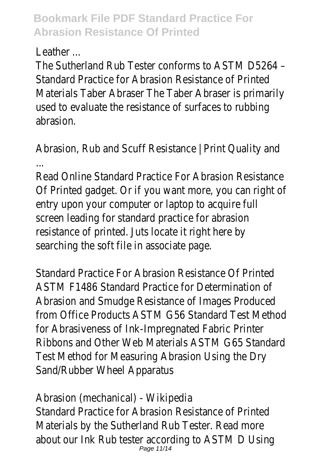Leather ...

The Sutherland Rub Tester conforms to ASTM D5264 – Standard Practice for Abrasion Resistance of Printed Materials Taber Abraser The Taber Abraser is primarily used to evaluate the resistance of surfaces to rubbing abrasion.

Abrasion, Rub and Scuff Resistance | Print Quality and ...

Read Online Standard Practice For Abrasion Resistance Of Printed gadget. Or if you want more, you can right of entry upon your computer or laptop to acquire full screen leading for standard practice for abrasion resistance of printed. Juts locate it right here by searching the soft file in associate page.

Standard Practice For Abrasion Resistance Of Printed ASTM F1486 Standard Practice for Determination of Abrasion and Smudge Resistance of Images Produced from Office Products ASTM G56 Standard Test Method for Abrasiveness of Ink-Impregnated Fabric Printer Ribbons and Other Web Materials ASTM G65 Standard Test Method for Measuring Abrasion Using the Dry Sand/Rubber Wheel Apparatus

Abrasion (mechanical) - Wikipedia Standard Practice for Abrasion Resistance of Printed Materials by the Sutherland Rub Tester. Read more about our Ink Rub tester according to ASTM D Using Page 11/14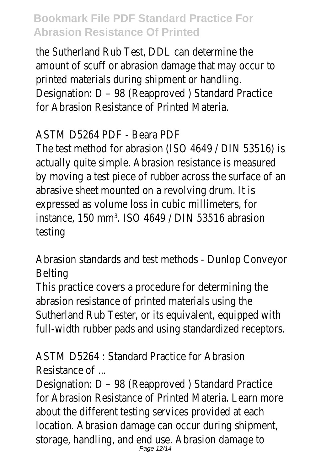the Sutherland Rub Test, DDL can determine the amount of scuff or abrasion damage that may occur to printed materials during shipment or handling. Designation: D – 98 (Reapproved ) Standard Practice for Abrasion Resistance of Printed Materia.

#### ASTM D5264 PDF - Beara PDF

The test method for abrasion (ISO 4649 / DIN 53516) is actually quite simple. Abrasion resistance is measured by moving a test piece of rubber across the surface of an abrasive sheet mounted on a revolving drum. It is expressed as volume loss in cubic millimeters, for instance, 150 mm<sup>3</sup>. ISO 4649 / DIN 53516 abrasion testing

Abrasion standards and test methods - Dunlop Conveyor Belting

This practice covers a procedure for determining the abrasion resistance of printed materials using the Sutherland Rub Tester, or its equivalent, equipped with full-width rubber pads and using standardized receptors.

ASTM D5264 : Standard Practice for Abrasion Resistance of ...

Designation: D – 98 (Reapproved ) Standard Practice for Abrasion Resistance of Printed Materia. Learn more about the different testing services provided at each location. Abrasion damage can occur during shipment, storage, handling, and end use. Abrasion damage to Page 12/14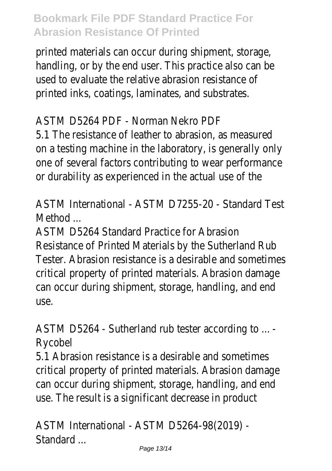printed materials can occur during shipment, storage, handling, or by the end user. This practice also can be used to evaluate the relative abrasion resistance of printed inks, coatings, laminates, and substrates.

#### ASTM D5264 PDF - Norman Nekro PDF

5.1 The resistance of leather to abrasion, as measured on a testing machine in the laboratory, is generally only one of several factors contributing to wear performance or durability as experienced in the actual use of the

ASTM International - ASTM D7255-20 - Standard Test Method .

ASTM D5264 Standard Practice for Abrasion Resistance of Printed Materials by the Sutherland Rub Tester. Abrasion resistance is a desirable and sometimes critical property of printed materials. Abrasion damage can occur during shipment, storage, handling, and end use.

ASTM D5264 - Sutherland rub tester according to ... - Rycobel

5.1 Abrasion resistance is a desirable and sometimes critical property of printed materials. Abrasion damage can occur during shipment, storage, handling, and end use. The result is a significant decrease in product

ASTM International - ASTM D5264-98(2019) - Standard ...